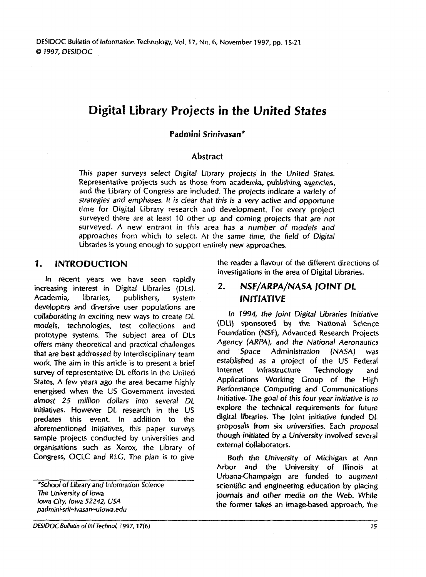# **Digital Library Projects in the United States**

#### **Padmini Srinivasan\***

#### **Abstract**

This paper surveys select Digital Library projects in the United States. Representative projects such as those from academia, publishing agencies, and the Library of Congress are included. The projects indicate a variety of strategies and emphases. It is clear that this is a very active and opportune time for Digital Library research and development. For every project surveyed there are at least 10 other **up** and coming projects that are not surveyed. A new entrant in this area has a number of models and approaches from which to select. At the same time, the field of Digital Libraries is young enough to support entirely new approaches.

#### **1. INTRODUCTION**

In recent years we have seen rapidly increasing interest in Digital Libraries (DLs). Academia, libraries, publishers, system developers and diversive user populations are collaborating in exciting new ways to create DL models, technologies, test collections and prototype systems. The subject area of DLs offers many theoretical and practical challenges that are best addressed by interdisciplinary team work. The aim in this article is to present a brief survey of representative DL efforts in the United States. A few years ago the area became highly energised when the US Government invested almost 25 million dollars into several DL initiatives. However DL research in the US predates this event. In addition to the aforementioned initiatives, this paper surveys sample projects conducted by universities and organisations such as Xerox, the Library of Congress, OCLC and RLC. The plan is to give

**"School of Library** and Information Science **The** University of **lowa lowa** City, **Iowa** 52242, **USA padmini-sril-ivasan-uiowa.edu** 

the reader a flavour of the different directions of investigations in the area of Digital Libraries.

#### **2. NSF/ARPA/NASA JOINT DL INITIATIVE**

in 1994, *the* joint Digital Libraries Initiative (DCI) sponsored by **the** Nations\ Science Foundation (NSF), Advanced Research Projects Agency (ARPA), and the National Aeronautics and Space Administration (NASA) was established as a project of the US Federal Internet Infrastructure Technology and Applications Working Group of the High Performance Computing and Communications Initiative. **The** goal of this four year initiative is to explore the technical requirements for future digital libraries. The )oint initiative funded DL proposals from six universities. Each proposal though initiated by a University involved several external collaborators.

Both the University of Michigan at Ann Arbor and the University of Illinois at Urbana-Champaign are funded to augment scientific and engineering education by placing journals and other media on the Web. While the former takes an image-based approach, the

**DESlDOC Bulletin oflnf Technol, 1997, 17(6) 15**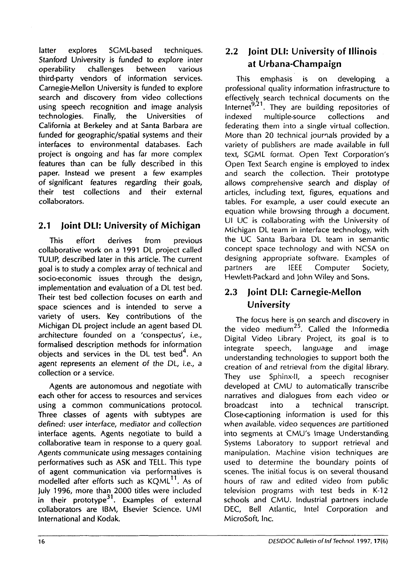latter explores SCML-based techniques. Stanford University is funded to explore inter operability challenges between various third-party vendors of information services. Carnegie-Mellon University is funded to explore search and discovery from video collections using speech recognition and image analysis technologies. Finally, the Universities of California at Berkeley and at Santa Barbara are funded for geographic/spatial systems and their interfaces to environmental databases. Each project is ongoing and has far more complex features than can be fully described in this paper. Instead we present a few examples of significant features regarding their goals, their test collections and their external collaborators.

# **2.1 Joint DLI: University of Michigan**

This effort derives from previous collaborative work on a 1991 DL project called TULIP, described later in this article. The current goal is to study a complex array of technical and socio-economic issues through the design, implementation and evaluation of a DL test bed. Their test bed collection focuses on earth and space sciences and is intended to serve a variety of users. Key contributions of the Michigan DL project include an agent based DL architecture founded on a 'conspectus', i.e., formalised description methods for information objects and services in the DL test bed $4$ . An agent represents an element of the DL, i.e., a collection or a service.

Agents are autonomous and negotiate with each other for access to resources and services using a common communications protocol. Three classes of agents with subtypes are defined: user interface, mediator and collection interface agents. Agents negotiate to build a collaborative team in response to a query goal. Agents communicate using messages containing performatives such as ASK and TELL. This type of agent communication via performatives is modelled after efforts such as KOML<sup>11</sup>. As of July 1996, more than 2000 titles were included in their prototype<sup>31</sup>. Examples of external collaborators are IBM, Elsevier Science. UMI International and Kodak.

# **2.2 Joint DLI: University of Illinois at Urbana-Champaign**

This emphasis is on developing a professional quality information infrastructure to effectively search technical documents on the  $\frac{1}{2}$  lnternet<sup>9,21</sup>. They are building repositories of indexed multiple-source collections and multiple-source federating them into a single virtual collection. More than 20 technical journals provided by a variety of publishers are made available in full text, SGML format. Open Text Corporation's Open Text Search engine is employed to index and search the collection. Their prototype allows comprehensive search and display of articles, including text, figures, equations and tables. For example, a user could execute an equation while browsing through a document. UI UC is collaborating with the University of Michigan DL team in interface technology, with the UC Santa Barbara DL team in semantic concept space technology and with NCSA on designing appropriate software. Examples of partners are IEEE Computer Society, Hewlett-Packard and john Wiley and Sons.

# **2.3 joint DLI: Carnegie-Mellon University**

The focus here is on search and discovery in the video medium<sup>25</sup>. Called the Informedia Digital Video Library Project, its goal is to integrate speech, language and image understanding technologies to support both the creation of and retrieval from the digital library. They use Sphinx-11, a speech recogniser developed at CMU to automatically transcribe narratives and dialogues from each video or broadcast into a technical transcript. Close-captioning information is used for this when available. video sequences are partitioned into segments at CMU's Image Understanding Systems Laboratory to support retrieval and manipulation. Machine vision techniques are used to determine the boundary points of scenes. The initial focus is on several thousand hours of raw and edited video from public television programs with test beds in K-12 schools and CMU. Industrial partners include DEC, Bell Atlantic, Intel Corporation and Microsoft, Inc.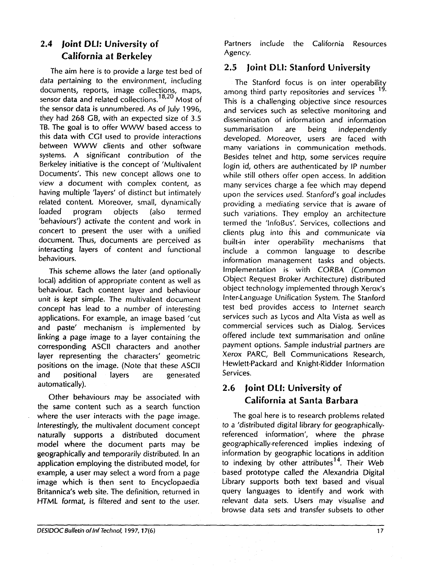# **2.4 joint DLI: University of California at Berkeley**

The aim here is to provide a large test bed of data pertaining to the environment, including documents, reports, image collections, maps, sensor data and related collections.<sup>18,20</sup> Most of the sensor data is unnumbered. As of July 1996, they had 268 GB, with an expected size of 3.5 TB. The goal is to offer WWW based access to this data with CGI used to provide interactions between WWW clients and other software systems. A significant contribution of the Berkeley initiative is the concept of 'Multivalent Documents'. This new concept allows one to view a document with complex content, as having multiple 'layers' of distinct but intimately related content. Moreover, small, dynamically loaded program objects (also termed 'behaviours') activate the content and work in concert to present the user with a unified document. Thus, documents are perceived as interacting layers of content and functional behaviours.

This scheme allows the later (and optionally local) addition of appropriate content as well as behaviour. Each content layer and behaviour unit is kept simple. The multivalent document concept has lead to a number of interesting applications. For example, an image based 'cut and paste' mechanism is implemented by linking a page image to a layer containing the corresponding ASCll characters and another layer representing the characters' geometric positions on the image. (Note that these ASCII and positional layers are generated automatically).

Other behaviours may be associated with the same content such as a search function where the user interacts with the page image. Interestingly, the multivalent document concept naturally supports a distributed document model where the document parts may be geographically and temporarily distributed. In an application employing the distributed model, for example, a user may select a word from a page image which is then sent to Encyclopaedia Britannica's web site. The definition, returned in HTML format, is filtered and sent to the user.

Partners include the California Resources Agency.

#### **2.5 Joint DL): Stanford University**

The Stanford focus is on inter operability among third party repositories and services This is a challenging objective since resources and services such as selective monitoring and dissemination of information and information summarisation are being independently developed. Moreover, users are faced with many variations in communication methods. Besides telnet and http, some services require login id, others are authenticated by IP number while still others offer open access. In addition many services charge a fee which may depend upon the services used. Stanford's goal includes providing a mediating service that is aware of such variations. They employ an architecture termed the 'InfoBus'. Services, collections and clients plug into ihis and communicate via built-in inter operability mechanisms that include a common language to describe information management tasks and objects. Implementation is with CORBA (Common Object Request Broker Architecture) distributed object technology implemented through Xerox's Inter-Language Unification System. The Stanford test bed provides access to Internet search services such as Lycos and Alta Vista as well as commercial services such as Dialog. Services offered include text summarisation and online payment options. Sample industrial partners are Xerox PARC, Bell Communications Research, Hewlett-Packard and Knight-Ridder Information Services.

# **2.6 joint DLI: University of California at Santa Barbara**

The goal here is to research problems related to a 'distributed digital library for geographicallyreferenced information', where the phrase geographically-referenced implies indexing of information by geographic locations in addition to indexing by other attributes<sup>14</sup>. Their Web based prototype called the Alexandria Digital Library supports both text based and visual query languages to identify and work with relevant data sets. Users may visualise and browse data sets and transfer subsets to other

 $17$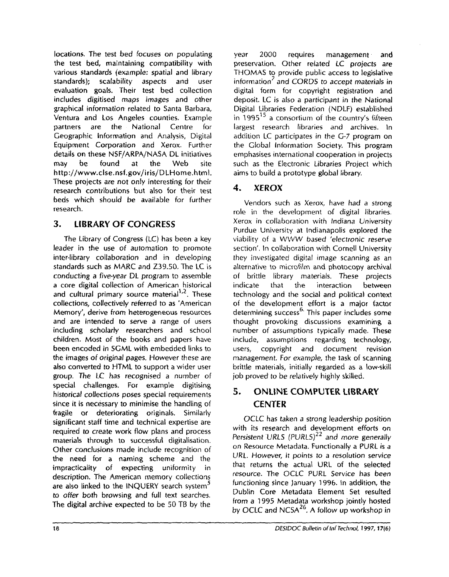locations. The test bed focuses on populating the test bed, maintaining compatibility with various standards (example: spatial and library standards); scalability aspects and user evaluation goals. Their test bed collection includes digitised maps images and other graphical information- related to Santa Barbara, Ventura and Los Angeles counties. Example partners are the National Centre for Geographic Information and Analysis, Digital Equipment Corporation and Xerox. Further details on these NSF/ARPA/NASA DL initiatives **may** be found **at** the Web site **http://www.clse.nsf.gov/iris/DLHorne.htrnl.**  These projects are not onjy interesting for their research contributions but also for their test beds which should be available for further research.

### **3. LIBRARY OF CONGRESS**

The Library of Congress (LC) has been a key leader in the use of automation to promote inter-library collaboration and in developing standards such as **MARC** and 239.50, The LC is conducting a fjve-year DL program to assemble a core digital col{ection of American historical and cultural primary source material<sup>1,2</sup>. These collections, collectively referred to as 'American Memory', derive from heterogeneous resources and are intended to serve a range of users including scholarly researchers and school children. Most of the books and papers have been encoded in SGML with embedded links to the images of original pages. However these are also converted to HTML to support a wider user group. The LC has recognised a number of special challenges. For example digitising historical collections poses special requirements since it is necessary to minimise the handling of fragile or deteriorating originals. Similarly significant staff time and technical expertise are required to create work flow plans and process materials through to successful digitalisation. Other conclusions made include recognition of the need for a naming scheme and the impracticality of expecting uniformity in description. The American memory collections are also linked to the INQUERY search system<sup>5</sup> to offer both browsing and full text searches. The digital archive expected to be 50 TB by the

year 2000 requires management and preservation. Other related LC projects are THOMAS to provide public access to legislative information<sup>7</sup> and CORDS to accept materials in digital form for copyright registration and deposit. LC is also a participant in the National Digital Libraries Federation (NDLF) established in  $1995^{15}$  a consortium of the country's fifteen largest research libraries and archives. In addition LC participates in the G-7 program on the Global Information Society. This program emphasises international cooperation in projects such as the Electronic Libraries Project which aims to build a prototype global library.

# **4. XEROX**

Vendors such as Xerox, have had a strong role in the development of digital libraries. Xerox in collaboration with Indiana University Purdue University at Indianapolis explored the viability of a WWW based 'electronic reserve section'. In collaboration with Cornell University they investigated digital image scanning as an alternative to microfilm and photocopy archival of brittle library materials. These projects indicate that the interaction between technology and the social and political context of the development effort is a major factor  $\frac{1}{2}$  determining success<sup>6.</sup> This paper includes some thought provoking discussions examining a number of assumptions typically made. These include, assumptions regarding technology, users, copyright and document revision management. For example, the task of scanning brittie materials, initially regarded as a low-skilt job proved to be relatively highly skilled.

# **5. ONLINE COMPUTER LIBRARY CENTER**

OCLC has taken a strong leadership position with its research and development efforts on *Persistent* 'URLS *(PURLS}~'* and more generally on Resource Metadata. Functionally a PURL is a **IIRL.** However, it points to a resolution service that returns the actual URL of the selected resource. The OCLC PURL Service has been functioning since january 1996. In addition, the Dublin Core Metadata Element Set resulted from a 1995 Metadata workshop jointly hosted by OCLC and NCSA<sup>26</sup>. A follow up workshop in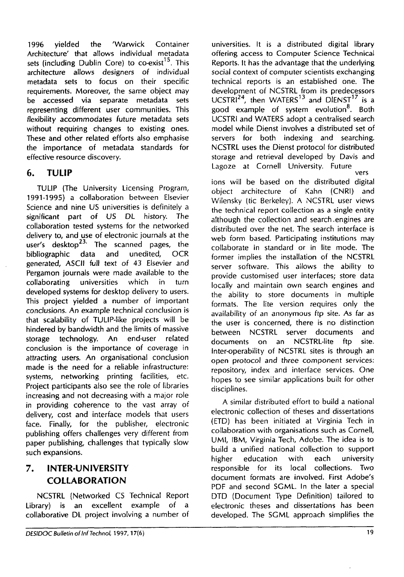1996 yielded the 'Warwick Container Architecture' that allows individual metadata sets (including Dublin Core) to co-exist<sup>15</sup>. This architecture allows designers of individual metadata sets to focus on their specific requirements. Moreover, the same object may be accessed via separate metadata sets representing different user communities. This flexibility accommodates future metadata sets without requiring changes to existing ones. These and other related efforts also emphasise the importance of metadata standards for effective resource discovery.

### **6. TULIP**

TULIP (The University Licensing Program, 1991-1995) a collaboration between Elsevier Science and nine US universities is definitely a significant part of US DL history. The collaboration tested systems for the networked delivery to, and use of electronic journals at the user's desktop<sup>23.</sup> The scanned pages, the bibliographic data and unedited, OCR generated, ASCII full text of 43 Elsevier and Pergamon journals were made available to the collaborating universities which in turn developed systems for desktop delivery to users. This project yielded a number of important conclusions. An example technical conclusion is that scalability of TULIP-like projects will be hindered by bandwidth and the limits of massive storage technology. An end-user related conclusion is the importance of coverage in attracting users. An organisational conclusion made is the need for a reliable infrastructure: systems, networking printing facilities, etc. Project participants also see the role of libraries increasing and not decreasing with a major role in providing coherence to the vast array of delivery, cost and interface models that users face. Finally, for the publisher, electronic publishing offers challenges very different from paper publishing, challenges that typically slow such expansions.

# **7. INTER-UNIVERSITY COLLABORATION**

NCSTRL (Networked CS Technical Report Library) is an excellent example of a collaborative DL project involving a number of universities. It is a distributed digital library offering access to Computer Science Technical Reports. It has the advantage that the underlying social context of computer scientists exchanging technical reports is an established one. The development of NCSTRL from its predecessors UCSTRI<sup>24</sup>, then WATERS<sup>13</sup> and DIENST<sup>17</sup> is a good example of system evolution<sup>8</sup>. Both UCSTRI and WATERS adopt a centralised search model while Dienst involves a distributed set of servers for both indexing and searching. NCSTRL uses the Dienst protocol for distributed storage and retrieval developed by Davis and Lagoze at Cornell University. Future vers

ions will be based on the distributed digital object architecture of Kahn (CNRI) and Wilensky (tic Berkeley). A NCSTRL user views the technical report collection as a single entity although the collection and search .engines are distributed over the net. The search interface is web form based. Participating institutions may collaborate in standard or in lite mode. The former implies the installation of the NCSTRL server software. This allows the ability to provide customised user interfaces; store data locally and maintain own search engines and the ability to store documents in multiple formats. The lite version requires only the availability of an anonymous ftp site. As far as the user is concerned, there is no distinction between NCSTRL server documents and documents on an NCSTRL-lite ftp site. Inter-operability of NCSTRL sites is through an open protocol and three component services: repository, index and interface services. One hopes to see similar applications built for other disciplines.

A similar distributed effort to build a national electronic collection of theses and dissertations (ETD) has been initiated at Virginia Tech in collaboration with organisations such as Cornell, UMI, IBM, Virginia Tech, Adobe. The idea is to build a unified national collection to support higher education with each university responsible for its local collections. Two document formats are involved. First Adobe's PDF and second SGML. In the later a special DTD (Document Type Definition) tailored to electronic theses and dissertations has been developed. The SGML approach simplifies the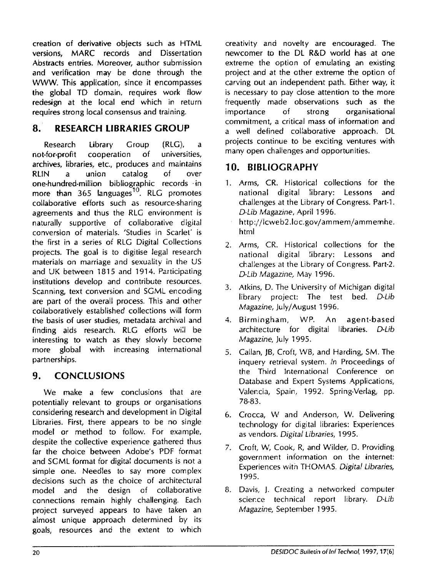creation of derivative objects such as HTML versions, MARC records and Dissertation Abstracts entries. Moreover, author submission and verification may be done through the WWW. This application, since it encompasses the global TD domain, requires work flow redesign at the local end which in return requires strong local consensus and training.

#### **8. RESEARCH LIBRARIES GROUP**

Research Library Group (RLG), a not-for-profit cooperation of universities, archives, libraries, etc., produces and maintains **RLlN** a union catalog of over one-hundred-million bibliographic records .in more than  $365$  languages<sup>10</sup>. RLG promotes collaborative efforts such as resource-sharing agreements and thus the RLG environment is naturally supportive of collaborative digital conversion of materials. 'Studies in Scarlet' is the first in a series of RLG Digital Collecrions projects. The goal is to digitise legal research materials on marriage and sexuality in the US and UK between 1815 and 1914. Participating institutions develop and contribute resources. Scanning, text conversion and SGML encoding are part of the overall process. This and other collaboratively established collections will form the basis of user studies, metadata archival and finding aids research. RLG efforts wi:l be interesting to watch as they slowly become more global with increasing international partnerships.

#### **9. CONCLUSIONS**

We make a few conclusions that are potentially relevant to groups or organisations considering research and development in Digital Libraries. First, there appears to be no single model or method to follow. For example, despite the collective experience gathered thus far the choice' between Adobe's PDF format and SGML format for digital documents is not a simple one. Needles to say more complex decisions such as the choice of architectural model and the design of collaborative connections remain highly challenging. Each project surveyed appears to have taken an almost unique approach determined by its goals, resources and the extent to which

creativity and novelty are encouraged. The newcomer to the DL R&D world has at one extreme the option of emulating an existing project and at the other extreme the option of carving out an independent path. Either way, it is necessary to pay close attention to the more frequently made observations such as the importance of strong organisational commitment, a critical mass of information and a well defined collaborative approach. DL projects continue to be exciting ventures with many open challenges and opportunities.

### **10. BIBLIOGRAPHY**

- 1. Arms, CR. Historical collections for the national digital library: Lessons and challenges at the Library of Congress. Part-1. *D.Lib Magazine, April 1996.*
- http://lcweb2.loc.gov/ammem/ammemhe. htnil
- 2. Arms, CR. Historical collections for the national digital library: Lessons and challenges at the Library of Congress. Part-2. *D-Lib* Magazine, May 1996.
- 3. Atkins, D. The University of Michigan digital library project: The test bed. D-Lib Magazine, July/August 1996.
- 4. Birmingham, WP. An agent-based architecture for digital libraries. D-Lib Magazine, July 1995.
- 5. Callan, **JB,** Croft, **iVB,** and Harding, SM. The inquery retrieval system. /n Proceedings of the Third International Conference on Database and Expert Systems Applications, Valencia, Spain, 1992. Spring-Verlag, pp. 78-83.
- 6. Crocca, **LV** and Anderson, W. Delivering technology for digital libraries: Experiences as vendors. Digital Libraries, 1995.
- 7. Croft, W, Cook, R, and Wilder, D. Providing government information on the internet: Experiences with **THOhIAS.** Digital Libraries, 1995.
- 8. Davis, 1. Creating a networked computer scien.ce technical report library. D-Lib Magazine, September 1995.